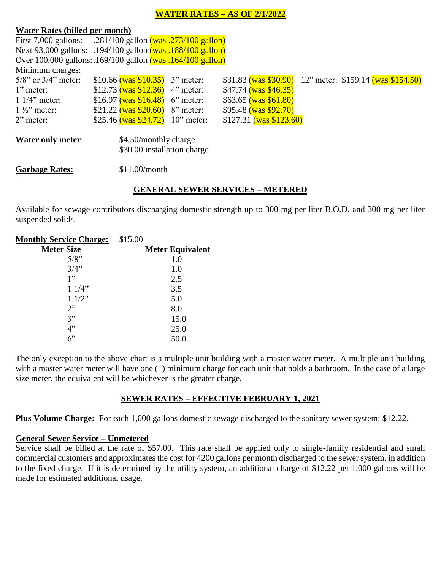## **WATER RATES – AS OF 2/1/2022**

#### **Water Rates (billed per month)**

| First 7,000 gallons: .281/100 gallon (was .273/100 gallon)      |                                                      |  |                                    |  |                                                          |  |  |
|-----------------------------------------------------------------|------------------------------------------------------|--|------------------------------------|--|----------------------------------------------------------|--|--|
| Next 93,000 gallons: .194/100 gallon (was .188/100 gallon)      |                                                      |  |                                    |  |                                                          |  |  |
| Over $100,000$ gallons: $169/100$ gallon $(was 164/100$ gallon) |                                                      |  |                                    |  |                                                          |  |  |
| Minimum charges:                                                |                                                      |  |                                    |  |                                                          |  |  |
| $5/8$ " or $3/4$ " meter:                                       |                                                      |  | \$10.66 (was \$10.35) 3" meter:    |  | \$31.83 (was \$30.90) 12" meter: \$159.14 (was \$154.50) |  |  |
| $1$ " meter:                                                    |                                                      |  | \$12.73 (was \$12.36) 4" meter:    |  | $$47.74$ (was $$46.35$ )                                 |  |  |
| $11/4$ " meter:                                                 |                                                      |  | \$16.97 (was \$16.48) 6" meter:    |  | $$63.65$ (was $$61.80$ )                                 |  |  |
| $1\frac{1}{2}$ meter:                                           |                                                      |  | \$21.22 (was \$20.60) 8" meter:    |  | $$95.48$ (was $$92.70$ )                                 |  |  |
| $2$ " meter:                                                    |                                                      |  | \$25.46 (was $$24.72$ ) 10" meter: |  | $$127.31$ (was \$123.60)                                 |  |  |
| <b>Water only meter:</b>                                        | \$4.50/monthly charge<br>\$30.00 installation charge |  |                                    |  |                                                          |  |  |
| <b>Garbage Rates:</b>                                           | \$11.00/month                                        |  |                                    |  |                                                          |  |  |

## **GENERAL SEWER SERVICES – METERED**

Available for sewage contributors discharging domestic strength up to 300 mg per liter B.O.D. and 300 mg per liter suspended solids.

| <b>Monthly Service Charge:</b> | \$15.00                 |
|--------------------------------|-------------------------|
| <b>Meter Size</b>              | <b>Meter Equivalent</b> |
| 5/8"                           | 1.0                     |
| 3/4"                           | 1.0                     |
| 1"                             | 2.5                     |
| 11/4"                          | 3.5                     |
| 11/2"                          | 5.0                     |
| 2                              | 8.0                     |
| 3"                             | 15.0                    |
| 4"                             | 25.0                    |
| $6$ "                          | 50.0                    |

The only exception to the above chart is a multiple unit building with a master water meter. A multiple unit building with a master water meter will have one (1) minimum charge for each unit that holds a bathroom. In the case of a large size meter, the equivalent will be whichever is the greater charge.

# **SEWER RATES – EFFECTIVE FEBRUARY 1, 2021**

**Plus Volume Charge:** For each 1,000 gallons domestic sewage discharged to the sanitary sewer system: \$12.22.

### **General Sewer Service – Unmetered**

Service shall be billed at the rate of \$57.00. This rate shall be applied only to single-family residential and small commercial customers and approximates the cost for 4200 gallons per month discharged to the sewer system, in addition to the fixed charge. If it is determined by the utility system, an additional charge of \$12.22 per 1,000 gallons will be made for estimated additional usage.